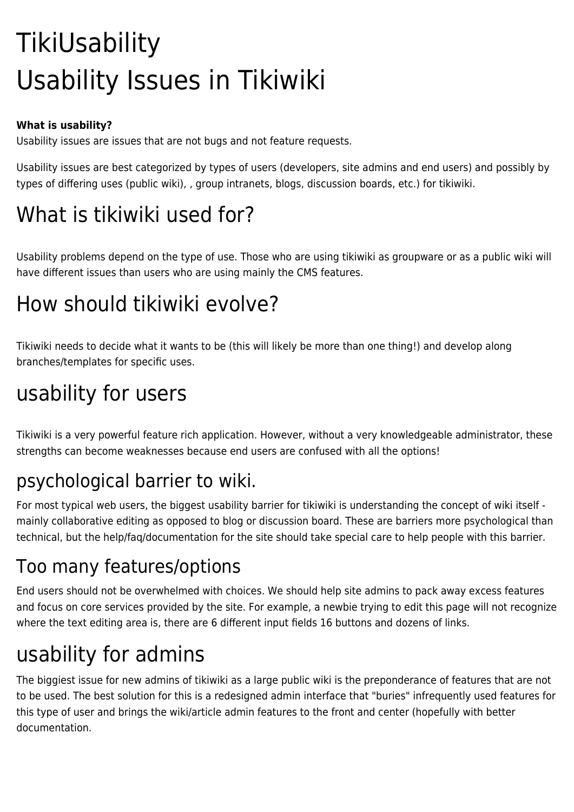# **TikiUsability** Usability Issues in Tikiwiki

#### **What is usability?**

Usability issues are issues that are not [bugs](https://tiki.org/tiki-editpage.php?page=bugs) and not [feature](https://tiki.org/tiki-editpage.php?page=TikiFeature) requests.

Usability issues are best categorized by types of users (developers, site admins and end users) and possibly by types of differing uses (public wiki), , group intranets, blogs, discussion boards, etc.) for tikiwiki.

## What is tikiwiki used for?

Usability problems depend on the type of use. Those who are using tikiwiki as [groupware](https://tiki.org/tiki-editpage.php?page=groupware) or as a public wiki will have different issues than users who are using mainly the CMS features.

## How should tikiwiki evolve?

Tikiwiki needs to decide what it wants to be (this will likely be more than one thing!) and develop along branches/templates for specific uses.

## usability for users

Tikiwiki is a very powerful feature rich application. However, without a very knowledgeable administrator, these strengths can become weaknesses because end users are confused with all the options!

#### psychological barrier to wiki.

For most typical web users, the biggest usability barrier for tikiwiki is understanding the concept of wiki itself mainly collaborative editing as opposed to blog or discussion board. These are barriers more psychological than technical, but the help/faq/documentation for the site should take special care to help people with this barrier.

#### Too many features/options

End users should not be overwhelmed with choices. We should help site admins to pack away excess features and focus on core services provided by the site. For example, a newbie trying to edit this page will not recognize where the text editing area is, there are 6 different input fields 16 buttons and dozens of links.

## usability for admins

The biggiest issue for new admins of tikiwiki as a large public wiki is the preponderance of features that are not to be used. The best solution for this is a redesigned admin interface that "buries" infrequently used features for this type of user and brings the wiki/article admin features to the front and center (hopefully with better documentation.